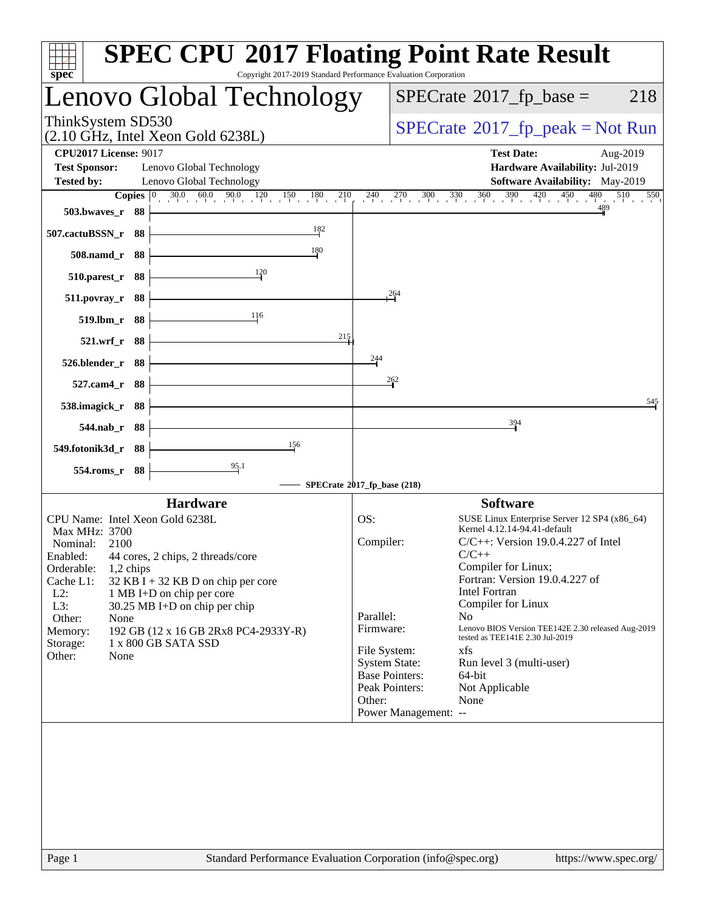| Copyright 2017-2019 Standard Performance Evaluation Corporation<br>$spec^*$                                                                                                                                                                                                                                                                                                                                                      | <b>SPEC CPU®2017 Floating Point Rate Result</b>                                                                                                                                                                                                                                                                                                                                                                                                                                                                                                                                                                 |
|----------------------------------------------------------------------------------------------------------------------------------------------------------------------------------------------------------------------------------------------------------------------------------------------------------------------------------------------------------------------------------------------------------------------------------|-----------------------------------------------------------------------------------------------------------------------------------------------------------------------------------------------------------------------------------------------------------------------------------------------------------------------------------------------------------------------------------------------------------------------------------------------------------------------------------------------------------------------------------------------------------------------------------------------------------------|
| Lenovo Global Technology                                                                                                                                                                                                                                                                                                                                                                                                         | $SPECrate^{\circledcirc}2017$ fp base =<br>218                                                                                                                                                                                                                                                                                                                                                                                                                                                                                                                                                                  |
| ThinkSystem SD530<br>$(2.10 \text{ GHz}, \text{Intel Xeon Gold } 6238L)$                                                                                                                                                                                                                                                                                                                                                         | $SPECrate^{\circ}2017rfp peak = Not Run$                                                                                                                                                                                                                                                                                                                                                                                                                                                                                                                                                                        |
| <b>CPU2017 License: 9017</b><br><b>Test Sponsor:</b><br>Lenovo Global Technology<br>Lenovo Global Technology<br><b>Tested by:</b>                                                                                                                                                                                                                                                                                                | <b>Test Date:</b><br>Aug-2019<br>Hardware Availability: Jul-2019<br><b>Software Availability:</b> May-2019                                                                                                                                                                                                                                                                                                                                                                                                                                                                                                      |
| 503.bwaves_r 88<br>182<br>507.cactuBSSN_r 88<br>180<br>508.namd_r 88<br>120<br>510.parest_r 88<br>511.povray_r 88<br>116<br>519.lbm_r 88<br>215<br>521.wrf_r 88<br>526.blender_r 88<br>527.cam4_r 88<br>538.imagick_r 88                                                                                                                                                                                                         | <b>Copies</b> $\begin{bmatrix} 0 & 30.0 & 60.0 & 90.0 & 120 & 150 & 180 & 210 & 240 & 270 & 300 & 330 & 360 & 390 & 420 & 450 & 480 & 510 \end{bmatrix}$<br>550<br>264<br>244<br>$\frac{262}{3}$<br>545                                                                                                                                                                                                                                                                                                                                                                                                         |
| 544.nab_r 88<br>156<br>549.fotonik3d_r 88<br>$\frac{95.1}{2}$<br>554.roms_r 88                                                                                                                                                                                                                                                                                                                                                   | 394<br>SPECrate®2017_fp_base (218)                                                                                                                                                                                                                                                                                                                                                                                                                                                                                                                                                                              |
| <b>Hardware</b><br>CPU Name: Intel Xeon Gold 6238L<br>Max MHz: 3700<br>Nominal:<br>2100<br>Enabled: 44 cores, 2 chips, 2 threads/core<br>Orderable:<br>1,2 chips<br>Cache L1:<br>$32$ KB I + 32 KB D on chip per core<br>$L2$ :<br>1 MB I+D on chip per core<br>L3:<br>$30.25$ MB I+D on chip per chip<br>Other:<br>None<br>192 GB (12 x 16 GB 2Rx8 PC4-2933Y-R)<br>Memory:<br>1 x 800 GB SATA SSD<br>Storage:<br>Other:<br>None | <b>Software</b><br>OS:<br>SUSE Linux Enterprise Server 12 SP4 (x86_64)<br>Kernel 4.12.14-94.41-default<br>Compiler:<br>$C/C++$ : Version 19.0.4.227 of Intel<br>$C/C++$<br>Compiler for Linux;<br>Fortran: Version 19.0.4.227 of<br><b>Intel Fortran</b><br>Compiler for Linux<br>Parallel:<br>N <sub>o</sub><br>Lenovo BIOS Version TEE142E 2.30 released Aug-2019<br>Firmware:<br>tested as TEE141E 2.30 Jul-2019<br>File System:<br>xfs<br><b>System State:</b><br>Run level 3 (multi-user)<br><b>Base Pointers:</b><br>64-bit<br>Peak Pointers:<br>Not Applicable<br>Other:<br>None<br>Power Management: -- |
| Page 1                                                                                                                                                                                                                                                                                                                                                                                                                           | Standard Performance Evaluation Corporation (info@spec.org)<br>https://www.spec.org/                                                                                                                                                                                                                                                                                                                                                                                                                                                                                                                            |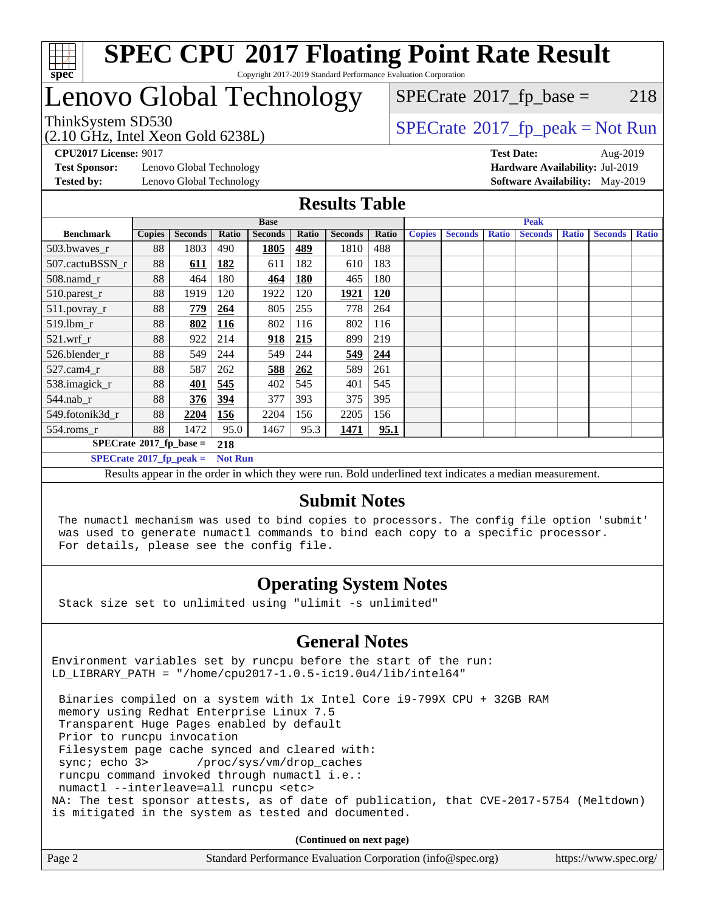

# Lenovo Global Technology

 $SPECTate@2017_fp\_base = 218$ 

(2.10 GHz, Intel Xeon Gold 6238L)

 $SPECTate@2017_fp\_peak = Not Run$ 

**[Test Sponsor:](http://www.spec.org/auto/cpu2017/Docs/result-fields.html#TestSponsor)** Lenovo Global Technology **[Hardware Availability:](http://www.spec.org/auto/cpu2017/Docs/result-fields.html#HardwareAvailability)** Jul-2019

**[CPU2017 License:](http://www.spec.org/auto/cpu2017/Docs/result-fields.html#CPU2017License)** 9017 **[Test Date:](http://www.spec.org/auto/cpu2017/Docs/result-fields.html#TestDate)** Aug-2019 **[Tested by:](http://www.spec.org/auto/cpu2017/Docs/result-fields.html#Testedby)** Lenovo Global Technology **[Software Availability:](http://www.spec.org/auto/cpu2017/Docs/result-fields.html#SoftwareAvailability)** May-2019

#### **[Results Table](http://www.spec.org/auto/cpu2017/Docs/result-fields.html#ResultsTable)**

|                                        | <b>Base</b>   |                |                | <b>Peak</b>    |            |                |            |               |                |              |                |              |                |              |
|----------------------------------------|---------------|----------------|----------------|----------------|------------|----------------|------------|---------------|----------------|--------------|----------------|--------------|----------------|--------------|
| <b>Benchmark</b>                       | <b>Copies</b> | <b>Seconds</b> | Ratio          | <b>Seconds</b> | Ratio      | <b>Seconds</b> | Ratio      | <b>Copies</b> | <b>Seconds</b> | <b>Ratio</b> | <b>Seconds</b> | <b>Ratio</b> | <b>Seconds</b> | <b>Ratio</b> |
| 503.bwaves_r                           | 88            | 1803           | 490            | 1805           | 489        | 1810           | 488        |               |                |              |                |              |                |              |
| 507.cactuBSSN r                        | 88            | 611            | 182            | 611            | 182        | 610            | 183        |               |                |              |                |              |                |              |
| $508$ .namd $r$                        | 88            | 464            | 180            | 464            | <b>180</b> | 465            | 180        |               |                |              |                |              |                |              |
| 510.parest_r                           | 88            | 1919           | 120            | 1922           | 120        | 1921           | <b>120</b> |               |                |              |                |              |                |              |
| 511.povray_r                           | 88            | 779            | 264            | 805            | 255        | 778            | 264        |               |                |              |                |              |                |              |
| 519.lbm r                              | 88            | 802            | <u>116</u>     | 802            | 116        | 802            | 116        |               |                |              |                |              |                |              |
| $521.wrf$ r                            | 88            | 922            | 214            | 918            | 215        | 899            | 219        |               |                |              |                |              |                |              |
| 526.blender r                          | 88            | 549            | 244            | 549            | 244        | 549            | 244        |               |                |              |                |              |                |              |
| $527$ .cam $4r$                        | 88            | 587            | 262            | 588            | 262        | 589            | 261        |               |                |              |                |              |                |              |
| 538.imagick_r                          | 88            | 401            | 545            | 402            | 545        | 401            | 545        |               |                |              |                |              |                |              |
| $544$ .nab r                           | 88            | 376            | 394            | 377            | 393        | 375            | 395        |               |                |              |                |              |                |              |
| 549.fotonik3d r                        | 88            | 2204           | 156            | 2204           | 156        | 2205           | 156        |               |                |              |                |              |                |              |
| $554$ .roms_r                          | 88            | 1472           | 95.0           | 1467           | 95.3       | 1471           | 95.1       |               |                |              |                |              |                |              |
| $SPECrate$ <sup>®</sup> 2017_fp_base = |               |                | 218            |                |            |                |            |               |                |              |                |              |                |              |
| $SPECrate^{\circ}2017$ fp peak =       |               |                | <b>Not Run</b> |                |            |                |            |               |                |              |                |              |                |              |

Results appear in the [order in which they were run.](http://www.spec.org/auto/cpu2017/Docs/result-fields.html#RunOrder) Bold underlined text [indicates a median measurement.](http://www.spec.org/auto/cpu2017/Docs/result-fields.html#Median)

#### **[Submit Notes](http://www.spec.org/auto/cpu2017/Docs/result-fields.html#SubmitNotes)**

 The numactl mechanism was used to bind copies to processors. The config file option 'submit' was used to generate numactl commands to bind each copy to a specific processor. For details, please see the config file.

### **[Operating System Notes](http://www.spec.org/auto/cpu2017/Docs/result-fields.html#OperatingSystemNotes)**

Stack size set to unlimited using "ulimit -s unlimited"

### **[General Notes](http://www.spec.org/auto/cpu2017/Docs/result-fields.html#GeneralNotes)**

Environment variables set by runcpu before the start of the run: LD\_LIBRARY\_PATH = "/home/cpu2017-1.0.5-ic19.0u4/lib/intel64"

 Binaries compiled on a system with 1x Intel Core i9-799X CPU + 32GB RAM memory using Redhat Enterprise Linux 7.5 Transparent Huge Pages enabled by default Prior to runcpu invocation Filesystem page cache synced and cleared with: sync; echo 3> /proc/sys/vm/drop\_caches runcpu command invoked through numactl i.e.: numactl --interleave=all runcpu <etc> NA: The test sponsor attests, as of date of publication, that CVE-2017-5754 (Meltdown) is mitigated in the system as tested and documented.

**(Continued on next page)**

| Page 2 | Standard Performance Evaluation Corporation (info@spec.org) | https://www.spec.org/ |
|--------|-------------------------------------------------------------|-----------------------|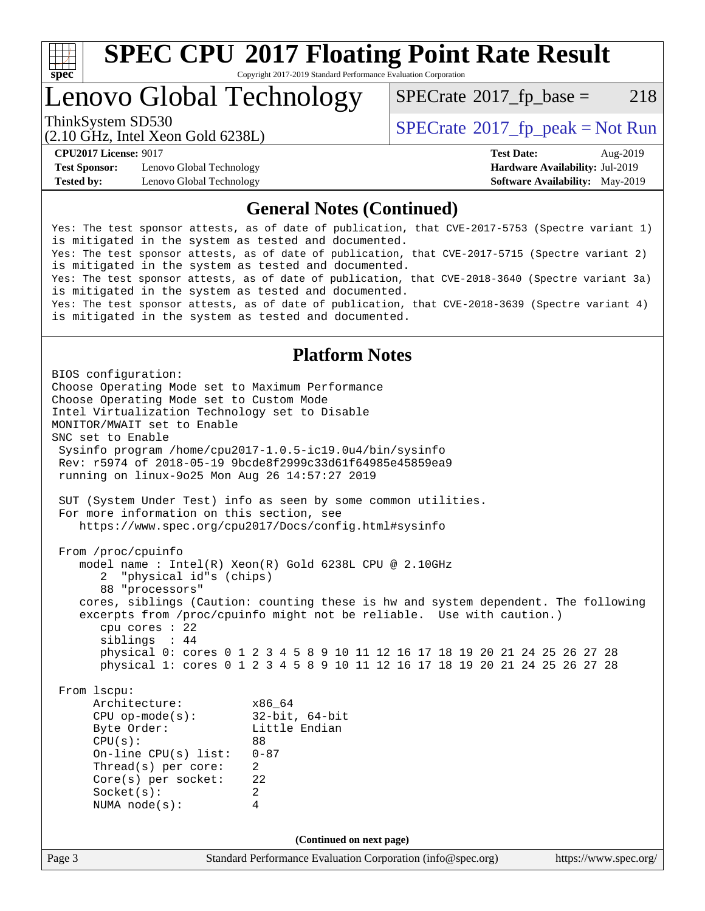

# **[SPEC CPU](http://www.spec.org/auto/cpu2017/Docs/result-fields.html#SPECCPU2017FloatingPointRateResult)[2017 Floating Point Rate Result](http://www.spec.org/auto/cpu2017/Docs/result-fields.html#SPECCPU2017FloatingPointRateResult)**

Copyright 2017-2019 Standard Performance Evaluation Corporation

Lenovo Global Technology

 $SPECTate@2017_fp\_base = 218$ 

(2.10 GHz, Intel Xeon Gold 6238L)

ThinkSystem SD530  $SPECrate^{\circ}2017$  $SPECrate^{\circ}2017$  fp\_peak = Not Run

**[Test Sponsor:](http://www.spec.org/auto/cpu2017/Docs/result-fields.html#TestSponsor)** Lenovo Global Technology **[Hardware Availability:](http://www.spec.org/auto/cpu2017/Docs/result-fields.html#HardwareAvailability)** Jul-2019 **[Tested by:](http://www.spec.org/auto/cpu2017/Docs/result-fields.html#Testedby)** Lenovo Global Technology **[Software Availability:](http://www.spec.org/auto/cpu2017/Docs/result-fields.html#SoftwareAvailability)** May-2019

**[CPU2017 License:](http://www.spec.org/auto/cpu2017/Docs/result-fields.html#CPU2017License)** 9017 **[Test Date:](http://www.spec.org/auto/cpu2017/Docs/result-fields.html#TestDate)** Aug-2019

#### **[General Notes \(Continued\)](http://www.spec.org/auto/cpu2017/Docs/result-fields.html#GeneralNotes)**

Yes: The test sponsor attests, as of date of publication, that CVE-2017-5753 (Spectre variant 1) is mitigated in the system as tested and documented. Yes: The test sponsor attests, as of date of publication, that CVE-2017-5715 (Spectre variant 2) is mitigated in the system as tested and documented. Yes: The test sponsor attests, as of date of publication, that CVE-2018-3640 (Spectre variant 3a) is mitigated in the system as tested and documented. Yes: The test sponsor attests, as of date of publication, that CVE-2018-3639 (Spectre variant 4) is mitigated in the system as tested and documented.

### **[Platform Notes](http://www.spec.org/auto/cpu2017/Docs/result-fields.html#PlatformNotes)**

Page 3 Standard Performance Evaluation Corporation [\(info@spec.org\)](mailto:info@spec.org) <https://www.spec.org/> BIOS configuration: Choose Operating Mode set to Maximum Performance Choose Operating Mode set to Custom Mode Intel Virtualization Technology set to Disable MONITOR/MWAIT set to Enable SNC set to Enable Sysinfo program /home/cpu2017-1.0.5-ic19.0u4/bin/sysinfo Rev: r5974 of 2018-05-19 9bcde8f2999c33d61f64985e45859ea9 running on linux-9o25 Mon Aug 26 14:57:27 2019 SUT (System Under Test) info as seen by some common utilities. For more information on this section, see <https://www.spec.org/cpu2017/Docs/config.html#sysinfo> From /proc/cpuinfo model name : Intel(R) Xeon(R) Gold 6238L CPU @ 2.10GHz 2 "physical id"s (chips) 88 "processors" cores, siblings (Caution: counting these is hw and system dependent. The following excerpts from /proc/cpuinfo might not be reliable. Use with caution.) cpu cores : 22 siblings : 44 physical 0: cores 0 1 2 3 4 5 8 9 10 11 12 16 17 18 19 20 21 24 25 26 27 28 physical 1: cores 0 1 2 3 4 5 8 9 10 11 12 16 17 18 19 20 21 24 25 26 27 28 From lscpu: Architecture: x86\_64<br>
CPU op-mode(s): 32-bit, 64-bit CPU op-mode(s):<br>Byte Order: Little Endian CPU(s): 88 On-line CPU(s) list: 0-87 Thread(s) per core: 2 Core(s) per socket: 22 Socket(s): 2 NUMA node(s): 4 **(Continued on next page)**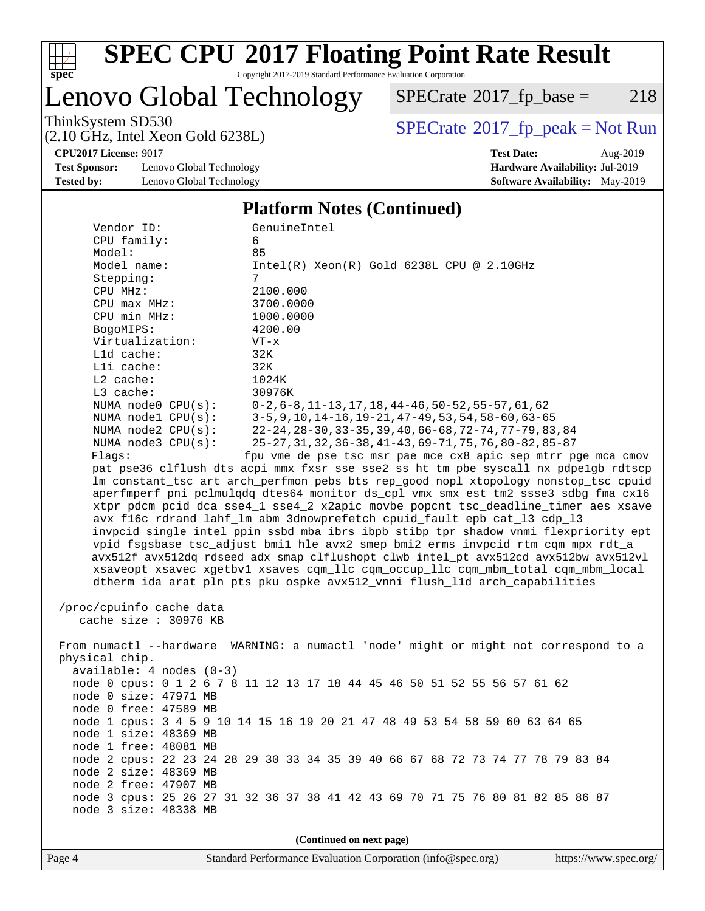

# **[SPEC CPU](http://www.spec.org/auto/cpu2017/Docs/result-fields.html#SPECCPU2017FloatingPointRateResult)[2017 Floating Point Rate Result](http://www.spec.org/auto/cpu2017/Docs/result-fields.html#SPECCPU2017FloatingPointRateResult)**

Copyright 2017-2019 Standard Performance Evaluation Corporation

Lenovo Global Technology

 $SPECTate@2017_fp\_base = 218$ 

(2.10 GHz, Intel Xeon Gold 6238L)

ThinkSystem SD530<br>  $(2.10 \text{ GHz})$  Intel Xeon Gold 6238I)

**[CPU2017 License:](http://www.spec.org/auto/cpu2017/Docs/result-fields.html#CPU2017License)** 9017 **[Test Date:](http://www.spec.org/auto/cpu2017/Docs/result-fields.html#TestDate)** Aug-2019

**[Test Sponsor:](http://www.spec.org/auto/cpu2017/Docs/result-fields.html#TestSponsor)** Lenovo Global Technology **[Hardware Availability:](http://www.spec.org/auto/cpu2017/Docs/result-fields.html#HardwareAvailability)** Jul-2019 **[Tested by:](http://www.spec.org/auto/cpu2017/Docs/result-fields.html#Testedby)** Lenovo Global Technology **[Software Availability:](http://www.spec.org/auto/cpu2017/Docs/result-fields.html#SoftwareAvailability)** May-2019

#### **[Platform Notes \(Continued\)](http://www.spec.org/auto/cpu2017/Docs/result-fields.html#PlatformNotes)**

| Vendor ID:<br>CPU family:                                                                                                                                               | GenuineIntel<br>6                                                                   |  |  |  |  |
|-------------------------------------------------------------------------------------------------------------------------------------------------------------------------|-------------------------------------------------------------------------------------|--|--|--|--|
| Model:                                                                                                                                                                  | 85                                                                                  |  |  |  |  |
| Model name:                                                                                                                                                             | $Intel(R) Xeon(R) Gold 6238L CPU @ 2.10GHz$                                         |  |  |  |  |
| Stepping:                                                                                                                                                               | 7                                                                                   |  |  |  |  |
| CPU MHz:                                                                                                                                                                | 2100.000                                                                            |  |  |  |  |
| CPU max MHz:                                                                                                                                                            | 3700.0000                                                                           |  |  |  |  |
| CPU min MHz:                                                                                                                                                            | 1000.0000                                                                           |  |  |  |  |
| BogoMIPS:                                                                                                                                                               | 4200.00                                                                             |  |  |  |  |
| Virtualization:                                                                                                                                                         | $VT - x$                                                                            |  |  |  |  |
| L1d cache:                                                                                                                                                              | 32K                                                                                 |  |  |  |  |
| Lli cache:                                                                                                                                                              | 32K                                                                                 |  |  |  |  |
| $L2$ cache:                                                                                                                                                             | 1024K                                                                               |  |  |  |  |
| $L3$ cache:                                                                                                                                                             | 30976K                                                                              |  |  |  |  |
| NUMA node0 CPU(s):                                                                                                                                                      | $0-2, 6-8, 11-13, 17, 18, 44-46, 50-52, 55-57, 61, 62$                              |  |  |  |  |
| NUMA nodel CPU(s):                                                                                                                                                      | $3-5, 9, 10, 14-16, 19-21, 47-49, 53, 54, 58-60, 63-65$                             |  |  |  |  |
| NUMA $node2$ $CPU(s)$ :                                                                                                                                                 | 22-24, 28-30, 33-35, 39, 40, 66-68, 72-74, 77-79, 83, 84                            |  |  |  |  |
| NUMA node3 CPU(s):                                                                                                                                                      | 25-27, 31, 32, 36-38, 41-43, 69-71, 75, 76, 80-82, 85-87                            |  |  |  |  |
| Flaqs:                                                                                                                                                                  | fpu vme de pse tsc msr pae mce cx8 apic sep mtrr pge mca cmov                       |  |  |  |  |
|                                                                                                                                                                         | pat pse36 clflush dts acpi mmx fxsr sse sse2 ss ht tm pbe syscall nx pdpelgb rdtscp |  |  |  |  |
|                                                                                                                                                                         | lm constant_tsc art arch_perfmon pebs bts rep_good nopl xtopology nonstop_tsc cpuid |  |  |  |  |
|                                                                                                                                                                         | aperfmperf pni pclmulqdq dtes64 monitor ds_cpl vmx smx est tm2 ssse3 sdbg fma cx16  |  |  |  |  |
|                                                                                                                                                                         | xtpr pdcm pcid dca sse4_1 sse4_2 x2apic movbe popcnt tsc_deadline_timer aes xsave   |  |  |  |  |
|                                                                                                                                                                         | avx f16c rdrand lahf_lm abm 3dnowprefetch cpuid_fault epb cat_13 cdp_13             |  |  |  |  |
|                                                                                                                                                                         | invpcid_single intel_ppin ssbd mba ibrs ibpb stibp tpr_shadow vnmi flexpriority ept |  |  |  |  |
| vpid fsgsbase tsc_adjust bmil hle avx2 smep bmi2 erms invpcid rtm cqm mpx rdt_a<br>avx512f avx512dq rdseed adx smap clflushopt clwb intel_pt avx512cd avx512bw avx512vl |                                                                                     |  |  |  |  |
|                                                                                                                                                                         | xsaveopt xsavec xgetbvl xsaves cqm_llc cqm_occup_llc cqm_mbm_total cqm_mbm_local    |  |  |  |  |
|                                                                                                                                                                         |                                                                                     |  |  |  |  |
| dtherm ida arat pln pts pku ospke avx512_vnni flush_lld arch_capabilities                                                                                               |                                                                                     |  |  |  |  |
| /proc/cpuinfo cache data                                                                                                                                                |                                                                                     |  |  |  |  |
| cache size : 30976 KB                                                                                                                                                   |                                                                                     |  |  |  |  |
| From numactl --hardware WARNING: a numactl 'node' might or might not correspond to a                                                                                    |                                                                                     |  |  |  |  |
| physical chip.                                                                                                                                                          |                                                                                     |  |  |  |  |
| $available: 4 nodes (0-3)$                                                                                                                                              |                                                                                     |  |  |  |  |
|                                                                                                                                                                         | node 0 cpus: 0 1 2 6 7 8 11 12 13 17 18 44 45 46 50 51 52 55 56 57 61 62            |  |  |  |  |
| node 0 size: 47971 MB                                                                                                                                                   |                                                                                     |  |  |  |  |
| node 0 free: 47589 MB                                                                                                                                                   |                                                                                     |  |  |  |  |
|                                                                                                                                                                         | node 1 cpus: 3 4 5 9 10 14 15 16 19 20 21 47 48 49 53 54 58 59 60 63 64 65          |  |  |  |  |
| node 1 size: 48369 MB                                                                                                                                                   |                                                                                     |  |  |  |  |
| node 1 free: 48081 MB                                                                                                                                                   |                                                                                     |  |  |  |  |
|                                                                                                                                                                         | node 2 cpus: 22 23 24 28 29 30 33 34 35 39 40 66 67 68 72 73 74 77 78 79 83 84      |  |  |  |  |
| node 2 size: 48369 MB                                                                                                                                                   |                                                                                     |  |  |  |  |
| node 2 free: 47907 MB                                                                                                                                                   |                                                                                     |  |  |  |  |
|                                                                                                                                                                         | node 3 cpus: 25 26 27 31 32 36 37 38 41 42 43 69 70 71 75 76 80 81 82 85 86 87      |  |  |  |  |
| node 3 size: 48338 MB                                                                                                                                                   |                                                                                     |  |  |  |  |
| (Continued on next page)                                                                                                                                                |                                                                                     |  |  |  |  |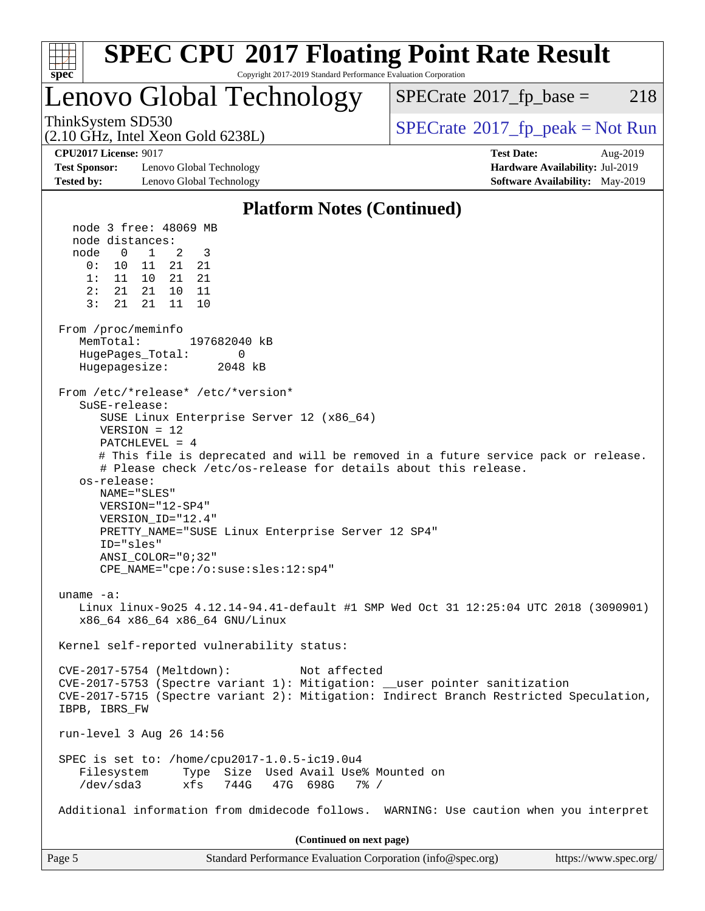| <b>SPEC CPU®2017 Floating Point Rate Result</b><br>Copyright 2017-2019 Standard Performance Evaluation Corporation<br>$spec^*$                                                                                                                                                                                                                                                                                                                                                                                                                                                                                                                                                                                                                                                                                                                                                                                                                                                                                                                                                                                                                                                                                                                                                                                                                                                                                                                                    |                                                |
|-------------------------------------------------------------------------------------------------------------------------------------------------------------------------------------------------------------------------------------------------------------------------------------------------------------------------------------------------------------------------------------------------------------------------------------------------------------------------------------------------------------------------------------------------------------------------------------------------------------------------------------------------------------------------------------------------------------------------------------------------------------------------------------------------------------------------------------------------------------------------------------------------------------------------------------------------------------------------------------------------------------------------------------------------------------------------------------------------------------------------------------------------------------------------------------------------------------------------------------------------------------------------------------------------------------------------------------------------------------------------------------------------------------------------------------------------------------------|------------------------------------------------|
| Lenovo Global Technology                                                                                                                                                                                                                                                                                                                                                                                                                                                                                                                                                                                                                                                                                                                                                                                                                                                                                                                                                                                                                                                                                                                                                                                                                                                                                                                                                                                                                                          | $SPECrate^{\circledast}2017$ _fp_base =<br>218 |
| ThinkSystem SD530<br>(2.10 GHz, Intel Xeon Gold 6238L)                                                                                                                                                                                                                                                                                                                                                                                                                                                                                                                                                                                                                                                                                                                                                                                                                                                                                                                                                                                                                                                                                                                                                                                                                                                                                                                                                                                                            | $SPECrate^{\circ}2017$ [p_peak = Not Run       |
| <b>CPU2017 License: 9017</b>                                                                                                                                                                                                                                                                                                                                                                                                                                                                                                                                                                                                                                                                                                                                                                                                                                                                                                                                                                                                                                                                                                                                                                                                                                                                                                                                                                                                                                      | <b>Test Date:</b><br>Aug-2019                  |
| <b>Test Sponsor:</b><br>Lenovo Global Technology                                                                                                                                                                                                                                                                                                                                                                                                                                                                                                                                                                                                                                                                                                                                                                                                                                                                                                                                                                                                                                                                                                                                                                                                                                                                                                                                                                                                                  | Hardware Availability: Jul-2019                |
| <b>Tested by:</b><br>Lenovo Global Technology                                                                                                                                                                                                                                                                                                                                                                                                                                                                                                                                                                                                                                                                                                                                                                                                                                                                                                                                                                                                                                                                                                                                                                                                                                                                                                                                                                                                                     | Software Availability: May-2019                |
| <b>Platform Notes (Continued)</b>                                                                                                                                                                                                                                                                                                                                                                                                                                                                                                                                                                                                                                                                                                                                                                                                                                                                                                                                                                                                                                                                                                                                                                                                                                                                                                                                                                                                                                 |                                                |
| node 3 free: 48069 MB<br>node distances:<br>node<br>$\overline{0}$<br>3<br>$\mathbf{1}$<br>2<br>21<br>0:<br>10<br>11<br>21<br>1:<br>11 10 21<br>21<br>2:<br>21  21<br>10<br>-11<br>3:<br>21<br>21<br>11<br>10<br>From /proc/meminfo<br>MemTotal:<br>197682040 kB<br>HugePages_Total:<br>0<br>Hugepagesize:<br>2048 kB<br>From /etc/*release* /etc/*version*<br>$S$ uSE-release:<br>SUSE Linux Enterprise Server 12 (x86_64)<br>$VERSION = 12$<br>$PATCHLEVEL = 4$<br># This file is deprecated and will be removed in a future service pack or release.<br># Please check /etc/os-release for details about this release.<br>os-release:<br>NAME="SLES"<br>VERSION="12-SP4"<br>VERSION_ID="12.4"<br>PRETTY_NAME="SUSE Linux Enterprise Server 12 SP4"<br>ID="sles"<br>ANSI_COLOR="0;32"<br>$CPE\_NAME = "cpe://o:suse: sles:12:sp4"$<br>uname $-a$ :<br>Linux linux-9025 4.12.14-94.41-default #1 SMP Wed Oct 31 12:25:04 UTC 2018 (3090901)<br>x86 64 x86 64 x86 64 GNU/Linux<br>Kernel self-reported vulnerability status:<br>CVE-2017-5754 (Meltdown):<br>Not affected<br>CVE-2017-5753 (Spectre variant 1): Mitigation: __user pointer sanitization<br>CVE-2017-5715 (Spectre variant 2): Mitigation: Indirect Branch Restricted Speculation,<br>IBPB, IBRS_FW<br>run-level 3 Aug 26 14:56<br>SPEC is set to: /home/cpu2017-1.0.5-ic19.0u4<br>Type Size Used Avail Use% Mounted on<br>Filesystem<br>$/\text{dev/sda}$ 3<br>744G<br>47G 698G<br>$7\%$ /<br>xfs |                                                |
| Additional information from dmidecode follows. WARNING: Use caution when you interpret                                                                                                                                                                                                                                                                                                                                                                                                                                                                                                                                                                                                                                                                                                                                                                                                                                                                                                                                                                                                                                                                                                                                                                                                                                                                                                                                                                            |                                                |
| (Continued on next page)                                                                                                                                                                                                                                                                                                                                                                                                                                                                                                                                                                                                                                                                                                                                                                                                                                                                                                                                                                                                                                                                                                                                                                                                                                                                                                                                                                                                                                          |                                                |
| Page 5<br>Standard Performance Evaluation Corporation (info@spec.org)                                                                                                                                                                                                                                                                                                                                                                                                                                                                                                                                                                                                                                                                                                                                                                                                                                                                                                                                                                                                                                                                                                                                                                                                                                                                                                                                                                                             | https://www.spec.org/                          |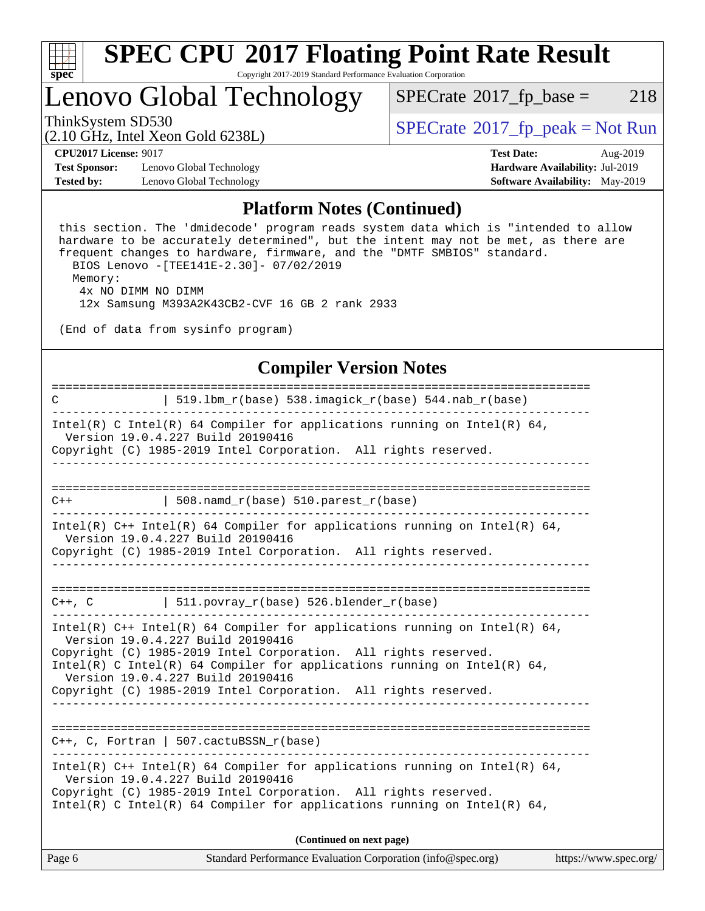

### Lenovo Global Technology

 $SPECTate@2017_fp\_base = 218$ 

(2.10 GHz, Intel Xeon Gold 6238L)

ThinkSystem SD530<br>  $\begin{array}{c}\n\text{SPECrate} \textcirc 2017\_fp\_peak = Not Run \\
\text{SPECrate} \textcirc 2017\_fp\_peak = Not Run\n\end{array}$  $\begin{array}{c}\n\text{SPECrate} \textcirc 2017\_fp\_peak = Not Run \\
\text{SPECrate} \textcirc 2017\_fp\_peak = Not Run\n\end{array}$  $\begin{array}{c}\n\text{SPECrate} \textcirc 2017\_fp\_peak = Not Run \\
\text{SPECrate} \textcirc 2017\_fp\_peak = Not Run\n\end{array}$ 

**[Test Sponsor:](http://www.spec.org/auto/cpu2017/Docs/result-fields.html#TestSponsor)** Lenovo Global Technology **[Hardware Availability:](http://www.spec.org/auto/cpu2017/Docs/result-fields.html#HardwareAvailability)** Jul-2019 **[Tested by:](http://www.spec.org/auto/cpu2017/Docs/result-fields.html#Testedby)** Lenovo Global Technology **[Software Availability:](http://www.spec.org/auto/cpu2017/Docs/result-fields.html#SoftwareAvailability)** May-2019

**[CPU2017 License:](http://www.spec.org/auto/cpu2017/Docs/result-fields.html#CPU2017License)** 9017 **[Test Date:](http://www.spec.org/auto/cpu2017/Docs/result-fields.html#TestDate)** Aug-2019

#### **[Platform Notes \(Continued\)](http://www.spec.org/auto/cpu2017/Docs/result-fields.html#PlatformNotes)**

 this section. The 'dmidecode' program reads system data which is "intended to allow hardware to be accurately determined", but the intent may not be met, as there are frequent changes to hardware, firmware, and the "DMTF SMBIOS" standard. BIOS Lenovo -[TEE141E-2.30]- 07/02/2019 Memory: 4x NO DIMM NO DIMM

12x Samsung M393A2K43CB2-CVF 16 GB 2 rank 2933

(End of data from sysinfo program)

#### **[Compiler Version Notes](http://www.spec.org/auto/cpu2017/Docs/result-fields.html#CompilerVersionNotes)**

| Page 6                                                                                                                                                                                                                                                                                   | Standard Performance Evaluation Corporation (info@spec.org)<br>https://www.spec.org/ |
|------------------------------------------------------------------------------------------------------------------------------------------------------------------------------------------------------------------------------------------------------------------------------------------|--------------------------------------------------------------------------------------|
|                                                                                                                                                                                                                                                                                          | (Continued on next page)                                                             |
| Intel(R) C++ Intel(R) 64 Compiler for applications running on Intel(R) 64,<br>Version 19.0.4.227 Build 20190416<br>Copyright (C) 1985-2019 Intel Corporation. All rights reserved.<br>Intel(R) C Intel(R) 64 Compiler for applications running on Intel(R) 64,                           |                                                                                      |
| $C++$ , C, Fortran   507.cactuBSSN_r(base)                                                                                                                                                                                                                                               |                                                                                      |
| Version 19.0.4.227 Build 20190416<br>Copyright (C) 1985-2019 Intel Corporation. All rights reserved.<br>Intel(R) C Intel(R) 64 Compiler for applications running on Intel(R) 64,<br>Version 19.0.4.227 Build 20190416<br>Copyright (C) 1985-2019 Intel Corporation. All rights reserved. |                                                                                      |
| Intel(R) $C++$ Intel(R) 64 Compiler for applications running on Intel(R) 64,                                                                                                                                                                                                             |                                                                                      |
| $C++$ , C   511.povray_r(base) 526.blender_r(base)                                                                                                                                                                                                                                       |                                                                                      |
| Copyright (C) 1985-2019 Intel Corporation. All rights reserved.                                                                                                                                                                                                                          | <u> - - - - - - - - - - - -</u>                                                      |
| Intel(R) $C++$ Intel(R) 64 Compiler for applications running on Intel(R) 64,<br>Version 19.0.4.227 Build 20190416                                                                                                                                                                        |                                                                                      |
| $\vert$ 508.namd_r(base) 510.parest_r(base)<br>$C++$                                                                                                                                                                                                                                     |                                                                                      |
|                                                                                                                                                                                                                                                                                          |                                                                                      |
| Intel(R) C Intel(R) 64 Compiler for applications running on Intel(R) 64,<br>Version 19.0.4.227 Build 20190416<br>Copyright (C) 1985-2019 Intel Corporation. All rights reserved.                                                                                                         |                                                                                      |
| C                                                                                                                                                                                                                                                                                        | $519.1bm_r(base) 538.imagick_r(base) 544.nab_r(base)$                                |
|                                                                                                                                                                                                                                                                                          |                                                                                      |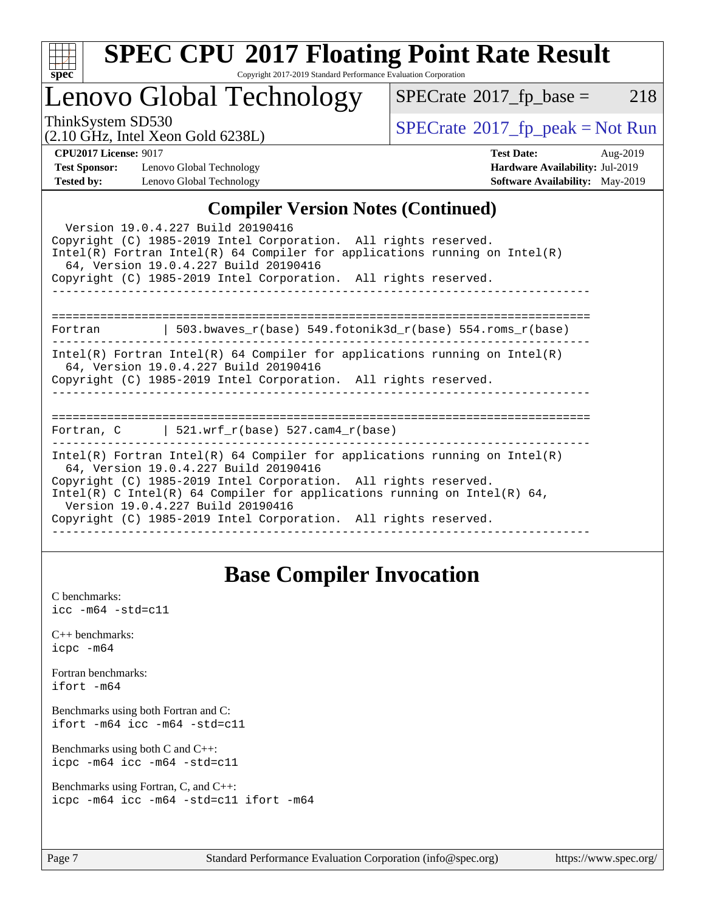

# **[SPEC CPU](http://www.spec.org/auto/cpu2017/Docs/result-fields.html#SPECCPU2017FloatingPointRateResult)[2017 Floating Point Rate Result](http://www.spec.org/auto/cpu2017/Docs/result-fields.html#SPECCPU2017FloatingPointRateResult)**

Copyright 2017-2019 Standard Performance Evaluation Corporation

## Lenovo Global Technology

 $SPECTate@2017_fp\_base = 218$ 

(2.10 GHz, Intel Xeon Gold 6238L)

 $SPECTate@2017<sub>fr</sub> peak = Not Run$ 

**[Test Sponsor:](http://www.spec.org/auto/cpu2017/Docs/result-fields.html#TestSponsor)** Lenovo Global Technology **[Hardware Availability:](http://www.spec.org/auto/cpu2017/Docs/result-fields.html#HardwareAvailability)** Jul-2019 **[Tested by:](http://www.spec.org/auto/cpu2017/Docs/result-fields.html#Testedby)** Lenovo Global Technology **[Software Availability:](http://www.spec.org/auto/cpu2017/Docs/result-fields.html#SoftwareAvailability)** May-2019

**[CPU2017 License:](http://www.spec.org/auto/cpu2017/Docs/result-fields.html#CPU2017License)** 9017 **[Test Date:](http://www.spec.org/auto/cpu2017/Docs/result-fields.html#TestDate)** Aug-2019

### **[Compiler Version Notes \(Continued\)](http://www.spec.org/auto/cpu2017/Docs/result-fields.html#CompilerVersionNotes)**

### **[Base Compiler Invocation](http://www.spec.org/auto/cpu2017/Docs/result-fields.html#BaseCompilerInvocation)**

[C benchmarks](http://www.spec.org/auto/cpu2017/Docs/result-fields.html#Cbenchmarks): [icc -m64 -std=c11](http://www.spec.org/cpu2017/results/res2019q3/cpu2017-20190903-17601.flags.html#user_CCbase_intel_icc_64bit_c11_33ee0cdaae7deeeab2a9725423ba97205ce30f63b9926c2519791662299b76a0318f32ddfffdc46587804de3178b4f9328c46fa7c2b0cd779d7a61945c91cd35)

[C++ benchmarks:](http://www.spec.org/auto/cpu2017/Docs/result-fields.html#CXXbenchmarks) [icpc -m64](http://www.spec.org/cpu2017/results/res2019q3/cpu2017-20190903-17601.flags.html#user_CXXbase_intel_icpc_64bit_4ecb2543ae3f1412ef961e0650ca070fec7b7afdcd6ed48761b84423119d1bf6bdf5cad15b44d48e7256388bc77273b966e5eb805aefd121eb22e9299b2ec9d9)

[Fortran benchmarks](http://www.spec.org/auto/cpu2017/Docs/result-fields.html#Fortranbenchmarks): [ifort -m64](http://www.spec.org/cpu2017/results/res2019q3/cpu2017-20190903-17601.flags.html#user_FCbase_intel_ifort_64bit_24f2bb282fbaeffd6157abe4f878425411749daecae9a33200eee2bee2fe76f3b89351d69a8130dd5949958ce389cf37ff59a95e7a40d588e8d3a57e0c3fd751)

[Benchmarks using both Fortran and C](http://www.spec.org/auto/cpu2017/Docs/result-fields.html#BenchmarksusingbothFortranandC): [ifort -m64](http://www.spec.org/cpu2017/results/res2019q3/cpu2017-20190903-17601.flags.html#user_CC_FCbase_intel_ifort_64bit_24f2bb282fbaeffd6157abe4f878425411749daecae9a33200eee2bee2fe76f3b89351d69a8130dd5949958ce389cf37ff59a95e7a40d588e8d3a57e0c3fd751) [icc -m64 -std=c11](http://www.spec.org/cpu2017/results/res2019q3/cpu2017-20190903-17601.flags.html#user_CC_FCbase_intel_icc_64bit_c11_33ee0cdaae7deeeab2a9725423ba97205ce30f63b9926c2519791662299b76a0318f32ddfffdc46587804de3178b4f9328c46fa7c2b0cd779d7a61945c91cd35)

[Benchmarks using both C and C++](http://www.spec.org/auto/cpu2017/Docs/result-fields.html#BenchmarksusingbothCandCXX): [icpc -m64](http://www.spec.org/cpu2017/results/res2019q3/cpu2017-20190903-17601.flags.html#user_CC_CXXbase_intel_icpc_64bit_4ecb2543ae3f1412ef961e0650ca070fec7b7afdcd6ed48761b84423119d1bf6bdf5cad15b44d48e7256388bc77273b966e5eb805aefd121eb22e9299b2ec9d9) [icc -m64 -std=c11](http://www.spec.org/cpu2017/results/res2019q3/cpu2017-20190903-17601.flags.html#user_CC_CXXbase_intel_icc_64bit_c11_33ee0cdaae7deeeab2a9725423ba97205ce30f63b9926c2519791662299b76a0318f32ddfffdc46587804de3178b4f9328c46fa7c2b0cd779d7a61945c91cd35)

[Benchmarks using Fortran, C, and C++:](http://www.spec.org/auto/cpu2017/Docs/result-fields.html#BenchmarksusingFortranCandCXX) [icpc -m64](http://www.spec.org/cpu2017/results/res2019q3/cpu2017-20190903-17601.flags.html#user_CC_CXX_FCbase_intel_icpc_64bit_4ecb2543ae3f1412ef961e0650ca070fec7b7afdcd6ed48761b84423119d1bf6bdf5cad15b44d48e7256388bc77273b966e5eb805aefd121eb22e9299b2ec9d9) [icc -m64 -std=c11](http://www.spec.org/cpu2017/results/res2019q3/cpu2017-20190903-17601.flags.html#user_CC_CXX_FCbase_intel_icc_64bit_c11_33ee0cdaae7deeeab2a9725423ba97205ce30f63b9926c2519791662299b76a0318f32ddfffdc46587804de3178b4f9328c46fa7c2b0cd779d7a61945c91cd35) [ifort -m64](http://www.spec.org/cpu2017/results/res2019q3/cpu2017-20190903-17601.flags.html#user_CC_CXX_FCbase_intel_ifort_64bit_24f2bb282fbaeffd6157abe4f878425411749daecae9a33200eee2bee2fe76f3b89351d69a8130dd5949958ce389cf37ff59a95e7a40d588e8d3a57e0c3fd751)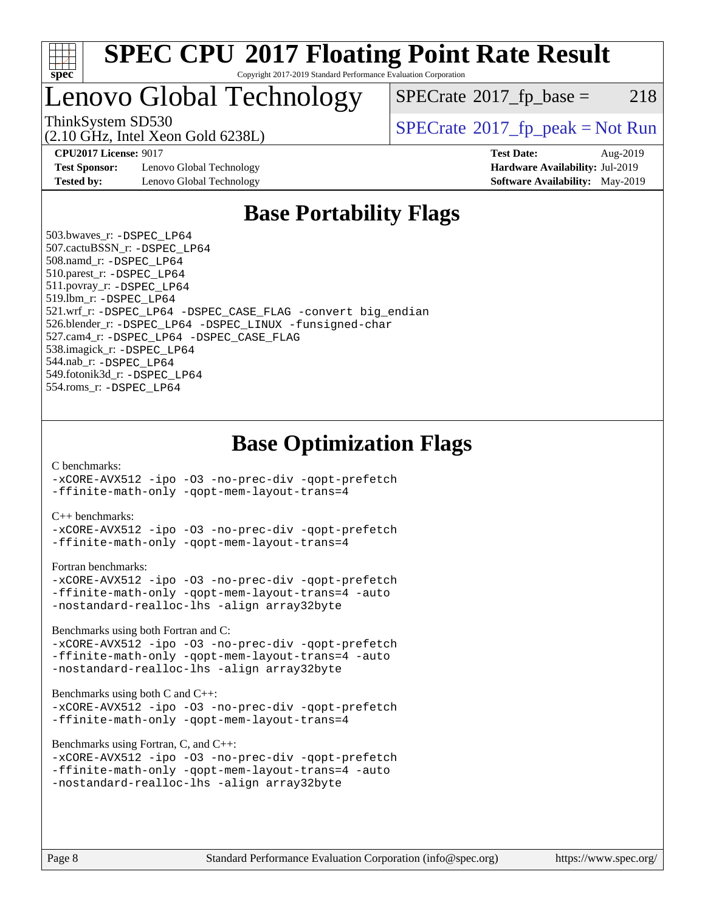

## Lenovo Global Technology

 $SPECTate@2017_fp\_base = 218$ 

(2.10 GHz, Intel Xeon Gold 6238L)

ThinkSystem SD530<br>  $SPECTR_{10}$  [SPECrate](http://www.spec.org/auto/cpu2017/Docs/result-fields.html#SPECrate2017fppeak)®[2017\\_fp\\_peak = N](http://www.spec.org/auto/cpu2017/Docs/result-fields.html#SPECrate2017fppeak)ot Run

**[Test Sponsor:](http://www.spec.org/auto/cpu2017/Docs/result-fields.html#TestSponsor)** Lenovo Global Technology **[Hardware Availability:](http://www.spec.org/auto/cpu2017/Docs/result-fields.html#HardwareAvailability)** Jul-2019 **[Tested by:](http://www.spec.org/auto/cpu2017/Docs/result-fields.html#Testedby)** Lenovo Global Technology **[Software Availability:](http://www.spec.org/auto/cpu2017/Docs/result-fields.html#SoftwareAvailability)** May-2019

**[CPU2017 License:](http://www.spec.org/auto/cpu2017/Docs/result-fields.html#CPU2017License)** 9017 **[Test Date:](http://www.spec.org/auto/cpu2017/Docs/result-fields.html#TestDate)** Aug-2019

### **[Base Portability Flags](http://www.spec.org/auto/cpu2017/Docs/result-fields.html#BasePortabilityFlags)**

 503.bwaves\_r: [-DSPEC\\_LP64](http://www.spec.org/cpu2017/results/res2019q3/cpu2017-20190903-17601.flags.html#suite_basePORTABILITY503_bwaves_r_DSPEC_LP64) 507.cactuBSSN\_r: [-DSPEC\\_LP64](http://www.spec.org/cpu2017/results/res2019q3/cpu2017-20190903-17601.flags.html#suite_basePORTABILITY507_cactuBSSN_r_DSPEC_LP64) 508.namd\_r: [-DSPEC\\_LP64](http://www.spec.org/cpu2017/results/res2019q3/cpu2017-20190903-17601.flags.html#suite_basePORTABILITY508_namd_r_DSPEC_LP64) 510.parest\_r: [-DSPEC\\_LP64](http://www.spec.org/cpu2017/results/res2019q3/cpu2017-20190903-17601.flags.html#suite_basePORTABILITY510_parest_r_DSPEC_LP64) 511.povray\_r: [-DSPEC\\_LP64](http://www.spec.org/cpu2017/results/res2019q3/cpu2017-20190903-17601.flags.html#suite_basePORTABILITY511_povray_r_DSPEC_LP64) 519.lbm\_r: [-DSPEC\\_LP64](http://www.spec.org/cpu2017/results/res2019q3/cpu2017-20190903-17601.flags.html#suite_basePORTABILITY519_lbm_r_DSPEC_LP64) 521.wrf\_r: [-DSPEC\\_LP64](http://www.spec.org/cpu2017/results/res2019q3/cpu2017-20190903-17601.flags.html#suite_basePORTABILITY521_wrf_r_DSPEC_LP64) [-DSPEC\\_CASE\\_FLAG](http://www.spec.org/cpu2017/results/res2019q3/cpu2017-20190903-17601.flags.html#b521.wrf_r_baseCPORTABILITY_DSPEC_CASE_FLAG) [-convert big\\_endian](http://www.spec.org/cpu2017/results/res2019q3/cpu2017-20190903-17601.flags.html#user_baseFPORTABILITY521_wrf_r_convert_big_endian_c3194028bc08c63ac5d04de18c48ce6d347e4e562e8892b8bdbdc0214820426deb8554edfa529a3fb25a586e65a3d812c835984020483e7e73212c4d31a38223) 526.blender\_r: [-DSPEC\\_LP64](http://www.spec.org/cpu2017/results/res2019q3/cpu2017-20190903-17601.flags.html#suite_basePORTABILITY526_blender_r_DSPEC_LP64) [-DSPEC\\_LINUX](http://www.spec.org/cpu2017/results/res2019q3/cpu2017-20190903-17601.flags.html#b526.blender_r_baseCPORTABILITY_DSPEC_LINUX) [-funsigned-char](http://www.spec.org/cpu2017/results/res2019q3/cpu2017-20190903-17601.flags.html#user_baseCPORTABILITY526_blender_r_force_uchar_40c60f00ab013830e2dd6774aeded3ff59883ba5a1fc5fc14077f794d777847726e2a5858cbc7672e36e1b067e7e5c1d9a74f7176df07886a243d7cc18edfe67) 527.cam4\_r: [-DSPEC\\_LP64](http://www.spec.org/cpu2017/results/res2019q3/cpu2017-20190903-17601.flags.html#suite_basePORTABILITY527_cam4_r_DSPEC_LP64) [-DSPEC\\_CASE\\_FLAG](http://www.spec.org/cpu2017/results/res2019q3/cpu2017-20190903-17601.flags.html#b527.cam4_r_baseCPORTABILITY_DSPEC_CASE_FLAG) 538.imagick\_r: [-DSPEC\\_LP64](http://www.spec.org/cpu2017/results/res2019q3/cpu2017-20190903-17601.flags.html#suite_basePORTABILITY538_imagick_r_DSPEC_LP64) 544.nab\_r: [-DSPEC\\_LP64](http://www.spec.org/cpu2017/results/res2019q3/cpu2017-20190903-17601.flags.html#suite_basePORTABILITY544_nab_r_DSPEC_LP64) 549.fotonik3d\_r: [-DSPEC\\_LP64](http://www.spec.org/cpu2017/results/res2019q3/cpu2017-20190903-17601.flags.html#suite_basePORTABILITY549_fotonik3d_r_DSPEC_LP64) 554.roms\_r: [-DSPEC\\_LP64](http://www.spec.org/cpu2017/results/res2019q3/cpu2017-20190903-17601.flags.html#suite_basePORTABILITY554_roms_r_DSPEC_LP64)

**[Base Optimization Flags](http://www.spec.org/auto/cpu2017/Docs/result-fields.html#BaseOptimizationFlags)**

[C benchmarks](http://www.spec.org/auto/cpu2017/Docs/result-fields.html#Cbenchmarks):

[-xCORE-AVX512](http://www.spec.org/cpu2017/results/res2019q3/cpu2017-20190903-17601.flags.html#user_CCbase_f-xCORE-AVX512) [-ipo](http://www.spec.org/cpu2017/results/res2019q3/cpu2017-20190903-17601.flags.html#user_CCbase_f-ipo) [-O3](http://www.spec.org/cpu2017/results/res2019q3/cpu2017-20190903-17601.flags.html#user_CCbase_f-O3) [-no-prec-div](http://www.spec.org/cpu2017/results/res2019q3/cpu2017-20190903-17601.flags.html#user_CCbase_f-no-prec-div) [-qopt-prefetch](http://www.spec.org/cpu2017/results/res2019q3/cpu2017-20190903-17601.flags.html#user_CCbase_f-qopt-prefetch) [-ffinite-math-only](http://www.spec.org/cpu2017/results/res2019q3/cpu2017-20190903-17601.flags.html#user_CCbase_f_finite_math_only_cb91587bd2077682c4b38af759c288ed7c732db004271a9512da14a4f8007909a5f1427ecbf1a0fb78ff2a814402c6114ac565ca162485bbcae155b5e4258871) [-qopt-mem-layout-trans=4](http://www.spec.org/cpu2017/results/res2019q3/cpu2017-20190903-17601.flags.html#user_CCbase_f-qopt-mem-layout-trans_fa39e755916c150a61361b7846f310bcdf6f04e385ef281cadf3647acec3f0ae266d1a1d22d972a7087a248fd4e6ca390a3634700869573d231a252c784941a8)

[C++ benchmarks:](http://www.spec.org/auto/cpu2017/Docs/result-fields.html#CXXbenchmarks)

[-xCORE-AVX512](http://www.spec.org/cpu2017/results/res2019q3/cpu2017-20190903-17601.flags.html#user_CXXbase_f-xCORE-AVX512) [-ipo](http://www.spec.org/cpu2017/results/res2019q3/cpu2017-20190903-17601.flags.html#user_CXXbase_f-ipo) [-O3](http://www.spec.org/cpu2017/results/res2019q3/cpu2017-20190903-17601.flags.html#user_CXXbase_f-O3) [-no-prec-div](http://www.spec.org/cpu2017/results/res2019q3/cpu2017-20190903-17601.flags.html#user_CXXbase_f-no-prec-div) [-qopt-prefetch](http://www.spec.org/cpu2017/results/res2019q3/cpu2017-20190903-17601.flags.html#user_CXXbase_f-qopt-prefetch) [-ffinite-math-only](http://www.spec.org/cpu2017/results/res2019q3/cpu2017-20190903-17601.flags.html#user_CXXbase_f_finite_math_only_cb91587bd2077682c4b38af759c288ed7c732db004271a9512da14a4f8007909a5f1427ecbf1a0fb78ff2a814402c6114ac565ca162485bbcae155b5e4258871) [-qopt-mem-layout-trans=4](http://www.spec.org/cpu2017/results/res2019q3/cpu2017-20190903-17601.flags.html#user_CXXbase_f-qopt-mem-layout-trans_fa39e755916c150a61361b7846f310bcdf6f04e385ef281cadf3647acec3f0ae266d1a1d22d972a7087a248fd4e6ca390a3634700869573d231a252c784941a8)

[Fortran benchmarks](http://www.spec.org/auto/cpu2017/Docs/result-fields.html#Fortranbenchmarks):

```
-xCORE-AVX512 -ipo -O3 -no-prec-div -qopt-prefetch
-ffinite-math-only -qopt-mem-layout-trans=4 -auto
-nostandard-realloc-lhs -align array32byte
```
[Benchmarks using both Fortran and C](http://www.spec.org/auto/cpu2017/Docs/result-fields.html#BenchmarksusingbothFortranandC):

```
-xCORE-AVX512 -ipo -O3 -no-prec-div -qopt-prefetch
-ffinite-math-only -qopt-mem-layout-trans=4 -auto
-nostandard-realloc-lhs -align array32byte
```
[Benchmarks using both C and C++](http://www.spec.org/auto/cpu2017/Docs/result-fields.html#BenchmarksusingbothCandCXX):

```
-xCORE-AVX512 -ipo -O3 -no-prec-div -qopt-prefetch
-ffinite-math-only -qopt-mem-layout-trans=4
```
[Benchmarks using Fortran, C, and C++:](http://www.spec.org/auto/cpu2017/Docs/result-fields.html#BenchmarksusingFortranCandCXX)

```
-xCORE-AVX512 -ipo -O3 -no-prec-div -qopt-prefetch
-ffinite-math-only -qopt-mem-layout-trans=4 -auto
-nostandard-realloc-lhs -align array32byte
```